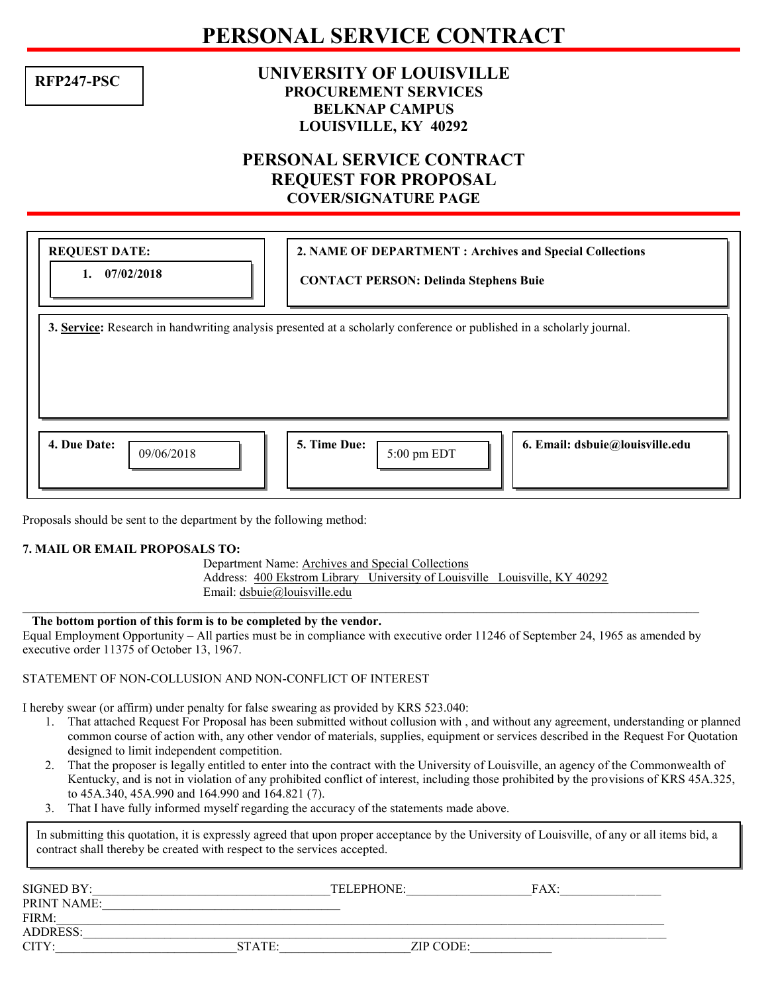## **PERSONAL SERVICE CONTRACT**

**RFP247-PSC**

### **UNIVERSITY OF LOUISVILLE PROCUREMENT SERVICES BELKNAP CAMPUS LOUISVILLE, KY 40292**

### **PERSONAL SERVICE CONTRACT REQUEST FOR PROPOSAL COVER/SIGNATURE PAGE**

| <b>REQUEST DATE:</b><br>07/02/2018<br>1.                                                                              | 2. NAME OF DEPARTMENT : Archives and Special Collections<br><b>CONTACT PERSON: Delinda Stephens Buie</b> |  |  |  |  |  |
|-----------------------------------------------------------------------------------------------------------------------|----------------------------------------------------------------------------------------------------------|--|--|--|--|--|
| 3. Service: Research in handwriting analysis presented at a scholarly conference or published in a scholarly journal. |                                                                                                          |  |  |  |  |  |
| 4. Due Date:<br>09/06/2018                                                                                            | 5. Time Due:<br>6. Email: dsbuie@louisville.edu<br>5:00 pm EDT                                           |  |  |  |  |  |

Proposals should be sent to the department by the following method:

#### **7. MAIL OR EMAIL PROPOSALS TO:**

Department Name: Archives and Special Collections Address: 400 Ekstrom Library University of Louisville Louisville, KY 40292 Email: dsbuie@louisville.edu

#### **The bottom portion of this form is to be completed by the vendor.**

Equal Employment Opportunity – All parties must be in compliance with executive order 11246 of September 24, 1965 as amended by executive order 11375 of October 13, 1967.

 $\mathcal{L}_\mathcal{L} = \{ \mathcal{L}_\mathcal{L} = \{ \mathcal{L}_\mathcal{L} = \{ \mathcal{L}_\mathcal{L} = \{ \mathcal{L}_\mathcal{L} = \{ \mathcal{L}_\mathcal{L} = \{ \mathcal{L}_\mathcal{L} = \{ \mathcal{L}_\mathcal{L} = \{ \mathcal{L}_\mathcal{L} = \{ \mathcal{L}_\mathcal{L} = \{ \mathcal{L}_\mathcal{L} = \{ \mathcal{L}_\mathcal{L} = \{ \mathcal{L}_\mathcal{L} = \{ \mathcal{L}_\mathcal{L} = \{ \mathcal{L}_\mathcal{$ 

#### STATEMENT OF NON-COLLUSION AND NON-CONFLICT OF INTEREST

I hereby swear (or affirm) under penalty for false swearing as provided by KRS 523.040:

- 1. That attached Request For Proposal has been submitted without collusion with , and without any agreement, understanding or planned common course of action with, any other vendor of materials, supplies, equipment or services described in the Request For Quotation designed to limit independent competition.
- 2. That the proposer is legally entitled to enter into the contract with the University of Louisville, an agency of the Commonwealth of Kentucky, and is not in violation of any prohibited conflict of interest, including those prohibited by the provisions of KRS 45A.325, to 45A.340, 45A.990 and 164.990 and 164.821 (7).
- 3. That I have fully informed myself regarding the accuracy of the statements made above.

In submitting this quotation, it is expressly agreed that upon proper acceptance by the University of Louisville, of any or all items bid, a contract shall thereby be created with respect to the services accepted.

| SIGNED BY:         |        | TELEPHONE: | FAX: |  |
|--------------------|--------|------------|------|--|
| <b>PRINT NAME:</b> |        |            |      |  |
| FIRM:              |        |            |      |  |
| <b>ADDRESS:</b>    |        |            |      |  |
| CITY:              | STATE: | ZIP CODE:  |      |  |
|                    |        |            |      |  |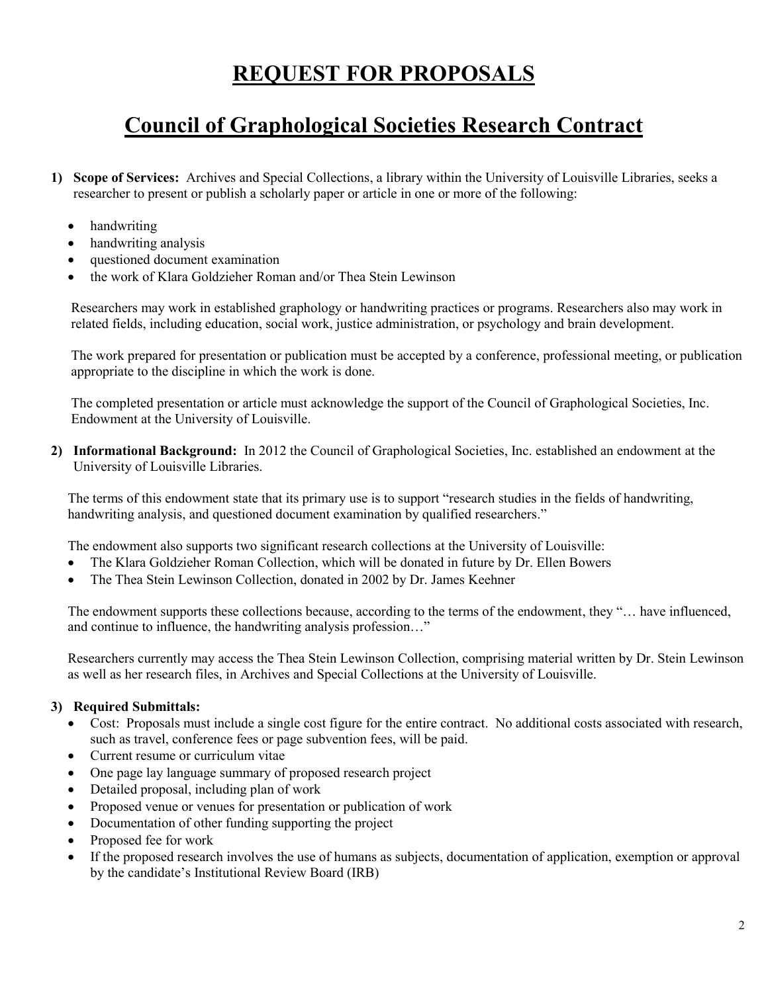## **REQUEST FOR PROPOSALS**

# **Council of Graphological Societies Research Contract**

- **1) Scope of Services:** Archives and Special Collections, a library within the University of Louisville Libraries, seeks a researcher to present or publish a scholarly paper or article in one or more of the following:
	- handwriting
	- handwriting analysis
	- questioned document examination
	- the work of Klara Goldzieher Roman and/or Thea Stein Lewinson

Researchers may work in established graphology or handwriting practices or programs. Researchers also may work in related fields, including education, social work, justice administration, or psychology and brain development.

The work prepared for presentation or publication must be accepted by a conference, professional meeting, or publication appropriate to the discipline in which the work is done.

The completed presentation or article must acknowledge the support of the Council of Graphological Societies, Inc. Endowment at the University of Louisville.

**2) Informational Background:** In 2012 the Council of Graphological Societies, Inc. established an endowment at the University of Louisville Libraries.

The terms of this endowment state that its primary use is to support "research studies in the fields of handwriting, handwriting analysis, and questioned document examination by qualified researchers."

The endowment also supports two significant research collections at the University of Louisville:

- The Klara Goldzieher Roman Collection, which will be donated in future by Dr. Ellen Bowers
- The Thea Stein Lewinson Collection, donated in 2002 by Dr. James Keehner

The endowment supports these collections because, according to the terms of the endowment, they "… have influenced, and continue to influence, the handwriting analysis profession…"

Researchers currently may access the Thea Stein Lewinson Collection, comprising material written by Dr. Stein Lewinson as well as her research files, in Archives and Special Collections at the University of Louisville.

#### **3) Required Submittals:**

- Cost: Proposals must include a single cost figure for the entire contract. No additional costs associated with research, such as travel, conference fees or page subvention fees, will be paid.
- Current resume or curriculum vitae
- One page lay language summary of proposed research project
- $\bullet$  Detailed proposal, including plan of work
- Proposed venue or venues for presentation or publication of work
- Documentation of other funding supporting the project
- Proposed fee for work
- If the proposed research involves the use of humans as subjects, documentation of application, exemption or approval by the candidate's Institutional Review Board (IRB)